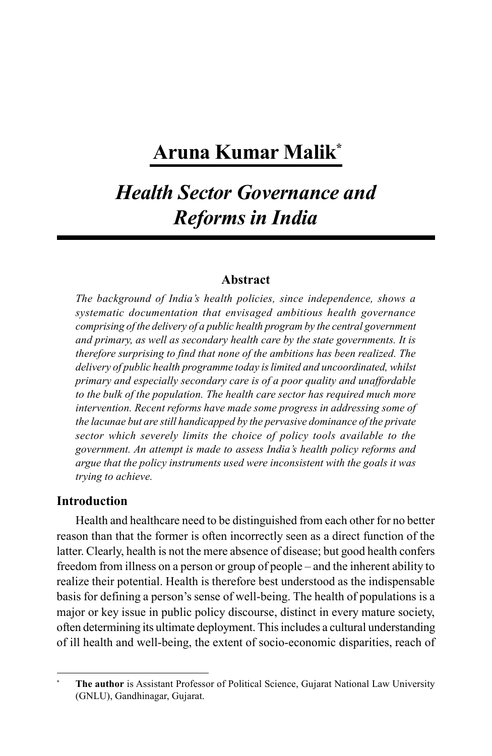# **Aruna Kumar Malik\***

# *Health Sector Governance and Reforms in India*

## **Abstract**

*The background of India's health policies, since independence, shows a systematic documentation that envisaged ambitious health governance comprising of the delivery of a public health program by the central government and primary, as well as secondary health care by the state governments. It is therefore surprising to find that none of the ambitions has been realized. The delivery of public health programme today is limited and uncoordinated, whilst primary and especially secondary care is of a poor quality and unaffordable to the bulk of the population. The health care sector has required much more intervention. Recent reforms have made some progress in addressing some of the lacunae but are still handicapped by the pervasive dominance of the private sector which severely limits the choice of policy tools available to the government. An attempt is made to assess India's health policy reforms and argue that the policy instruments used were inconsistent with the goals it was trying to achieve.*

### **Introduction**

Health and healthcare need to be distinguished from each other for no better reason than that the former is often incorrectly seen as a direct function of the latter. Clearly, health is not the mere absence of disease; but good health confers freedom from illness on a person or group of people – and the inherent ability to realize their potential. Health is therefore best understood as the indispensable basis for defining a person's sense of well-being. The health of populations is a major or key issue in public policy discourse, distinct in every mature society, often determining its ultimate deployment. This includes a cultural understanding of ill health and well-being, the extent of socio-economic disparities, reach of

**<sup>\*</sup> The author** is Assistant Professor of Political Science, Gujarat National Law University (GNLU), Gandhinagar, Gujarat.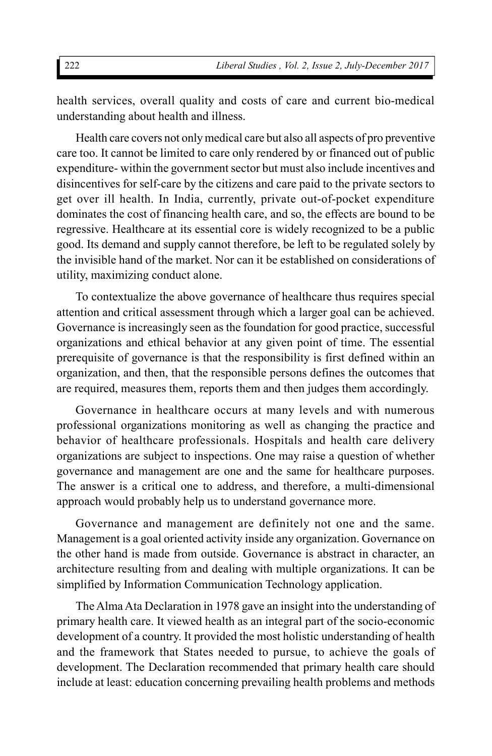health services, overall quality and costs of care and current bio-medical understanding about health and illness.

Health care covers not only medical care but also all aspects of pro preventive care too. It cannot be limited to care only rendered by or financed out of public expenditure- within the government sector but must also include incentives and disincentives for self-care by the citizens and care paid to the private sectors to get over ill health. In India, currently, private out-of-pocket expenditure dominates the cost of financing health care, and so, the effects are bound to be regressive. Healthcare at its essential core is widely recognized to be a public good. Its demand and supply cannot therefore, be left to be regulated solely by the invisible hand of the market. Nor can it be established on considerations of utility, maximizing conduct alone.

To contextualize the above governance of healthcare thus requires special attention and critical assessment through which a larger goal can be achieved. Governance is increasingly seen as the foundation for good practice, successful organizations and ethical behavior at any given point of time. The essential prerequisite of governance is that the responsibility is first defined within an organization, and then, that the responsible persons defines the outcomes that are required, measures them, reports them and then judges them accordingly.

Governance in healthcare occurs at many levels and with numerous professional organizations monitoring as well as changing the practice and behavior of healthcare professionals. Hospitals and health care delivery organizations are subject to inspections. One may raise a question of whether governance and management are one and the same for healthcare purposes. The answer is a critical one to address, and therefore, a multi-dimensional approach would probably help us to understand governance more.

Governance and management are definitely not one and the same. Management is a goal oriented activity inside any organization. Governance on the other hand is made from outside. Governance is abstract in character, an architecture resulting from and dealing with multiple organizations. It can be simplified by Information Communication Technology application.

The Alma Ata Declaration in 1978 gave an insight into the understanding of primary health care. It viewed health as an integral part of the socio-economic development of a country. It provided the most holistic understanding of health and the framework that States needed to pursue, to achieve the goals of development. The Declaration recommended that primary health care should include at least: education concerning prevailing health problems and methods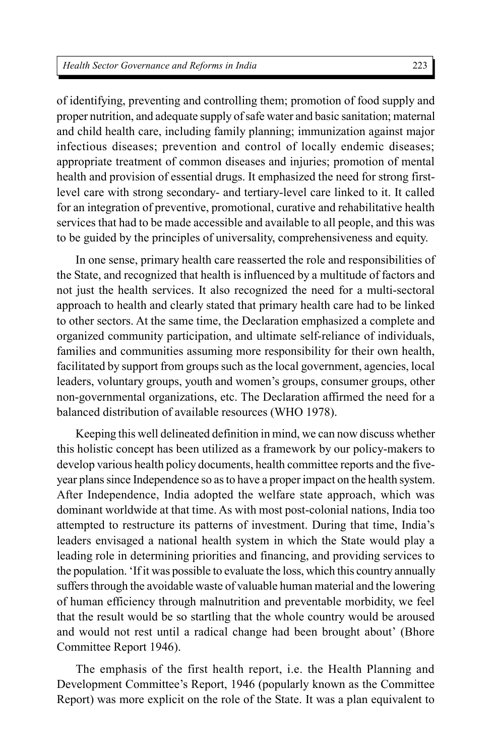of identifying, preventing and controlling them; promotion of food supply and proper nutrition, and adequate supply of safe water and basic sanitation; maternal and child health care, including family planning; immunization against major infectious diseases; prevention and control of locally endemic diseases; appropriate treatment of common diseases and injuries; promotion of mental health and provision of essential drugs. It emphasized the need for strong firstlevel care with strong secondary- and tertiary-level care linked to it. It called for an integration of preventive, promotional, curative and rehabilitative health services that had to be made accessible and available to all people, and this was to be guided by the principles of universality, comprehensiveness and equity.

In one sense, primary health care reasserted the role and responsibilities of the State, and recognized that health is influenced by a multitude of factors and not just the health services. It also recognized the need for a multi-sectoral approach to health and clearly stated that primary health care had to be linked to other sectors. At the same time, the Declaration emphasized a complete and organized community participation, and ultimate self-reliance of individuals, families and communities assuming more responsibility for their own health, facilitated by support from groups such as the local government, agencies, local leaders, voluntary groups, youth and women's groups, consumer groups, other non-governmental organizations, etc. The Declaration affirmed the need for a balanced distribution of available resources (WHO 1978).

Keeping this well delineated definition in mind, we can now discuss whether this holistic concept has been utilized as a framework by our policy-makers to develop various health policy documents, health committee reports and the fiveyear plans since Independence so as to have a proper impact on the health system. After Independence, India adopted the welfare state approach, which was dominant worldwide at that time. As with most post-colonial nations, India too attempted to restructure its patterns of investment. During that time, India's leaders envisaged a national health system in which the State would play a leading role in determining priorities and financing, and providing services to the population. 'If it was possible to evaluate the loss, which this country annually suffers through the avoidable waste of valuable human material and the lowering of human efficiency through malnutrition and preventable morbidity, we feel that the result would be so startling that the whole country would be aroused and would not rest until a radical change had been brought about' (Bhore Committee Report 1946).

The emphasis of the first health report, i.e. the Health Planning and Development Committee's Report, 1946 (popularly known as the Committee Report) was more explicit on the role of the State. It was a plan equivalent to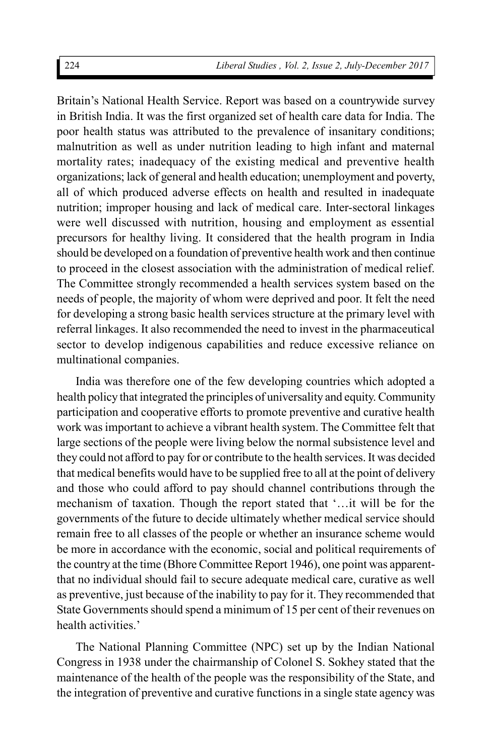Britain's National Health Service. Report was based on a countrywide survey in British India. It was the first organized set of health care data for India. The poor health status was attributed to the prevalence of insanitary conditions; malnutrition as well as under nutrition leading to high infant and maternal mortality rates; inadequacy of the existing medical and preventive health organizations; lack of general and health education; unemployment and poverty, all of which produced adverse effects on health and resulted in inadequate nutrition; improper housing and lack of medical care. Inter-sectoral linkages were well discussed with nutrition, housing and employment as essential precursors for healthy living. It considered that the health program in India should be developed on a foundation of preventive health work and then continue to proceed in the closest association with the administration of medical relief. The Committee strongly recommended a health services system based on the needs of people, the majority of whom were deprived and poor. It felt the need for developing a strong basic health services structure at the primary level with referral linkages. It also recommended the need to invest in the pharmaceutical sector to develop indigenous capabilities and reduce excessive reliance on multinational companies.

India was therefore one of the few developing countries which adopted a health policy that integrated the principles of universality and equity. Community participation and cooperative efforts to promote preventive and curative health work was important to achieve a vibrant health system. The Committee felt that large sections of the people were living below the normal subsistence level and they could not afford to pay for or contribute to the health services. It was decided that medical benefits would have to be supplied free to all at the point of delivery and those who could afford to pay should channel contributions through the mechanism of taxation. Though the report stated that '…it will be for the governments of the future to decide ultimately whether medical service should remain free to all classes of the people or whether an insurance scheme would be more in accordance with the economic, social and political requirements of the country at the time (Bhore Committee Report 1946), one point was apparentthat no individual should fail to secure adequate medical care, curative as well as preventive, just because of the inability to pay for it. They recommended that State Governments should spend a minimum of 15 per cent of their revenues on health activities.'

The National Planning Committee (NPC) set up by the Indian National Congress in 1938 under the chairmanship of Colonel S. Sokhey stated that the maintenance of the health of the people was the responsibility of the State, and the integration of preventive and curative functions in a single state agency was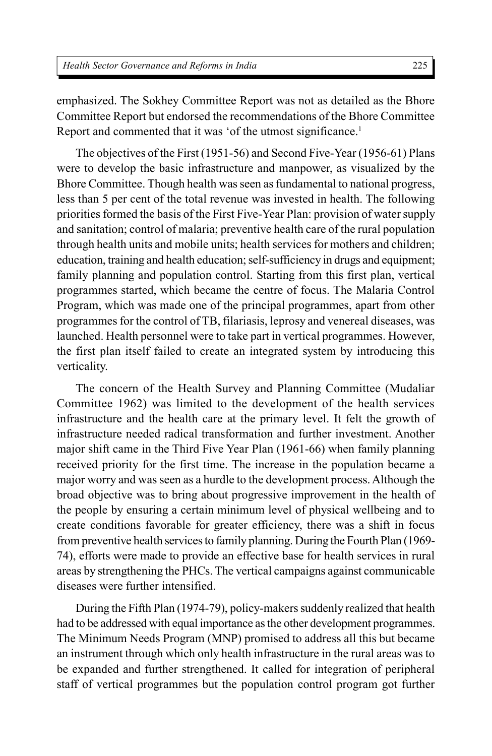emphasized. The Sokhey Committee Report was not as detailed as the Bhore Committee Report but endorsed the recommendations of the Bhore Committee Report and commented that it was 'of the utmost significance.<sup>1</sup>

The objectives of the First (1951-56) and Second Five-Year (1956-61) Plans were to develop the basic infrastructure and manpower, as visualized by the Bhore Committee. Though health was seen as fundamental to national progress, less than 5 per cent of the total revenue was invested in health. The following priorities formed the basis of the First Five-Year Plan: provision of water supply and sanitation; control of malaria; preventive health care of the rural population through health units and mobile units; health services for mothers and children; education, training and health education; self-sufficiency in drugs and equipment; family planning and population control. Starting from this first plan, vertical programmes started, which became the centre of focus. The Malaria Control Program, which was made one of the principal programmes, apart from other programmes for the control of TB, filariasis, leprosy and venereal diseases, was launched. Health personnel were to take part in vertical programmes. However, the first plan itself failed to create an integrated system by introducing this verticality.

The concern of the Health Survey and Planning Committee (Mudaliar Committee 1962) was limited to the development of the health services infrastructure and the health care at the primary level. It felt the growth of infrastructure needed radical transformation and further investment. Another major shift came in the Third Five Year Plan (1961-66) when family planning received priority for the first time. The increase in the population became a major worry and was seen as a hurdle to the development process. Although the broad objective was to bring about progressive improvement in the health of the people by ensuring a certain minimum level of physical wellbeing and to create conditions favorable for greater efficiency, there was a shift in focus from preventive health services to family planning. During the Fourth Plan (1969- 74), efforts were made to provide an effective base for health services in rural areas by strengthening the PHCs. The vertical campaigns against communicable diseases were further intensified.

During the Fifth Plan (1974-79), policy-makers suddenly realized that health had to be addressed with equal importance as the other development programmes. The Minimum Needs Program (MNP) promised to address all this but became an instrument through which only health infrastructure in the rural areas was to be expanded and further strengthened. It called for integration of peripheral staff of vertical programmes but the population control program got further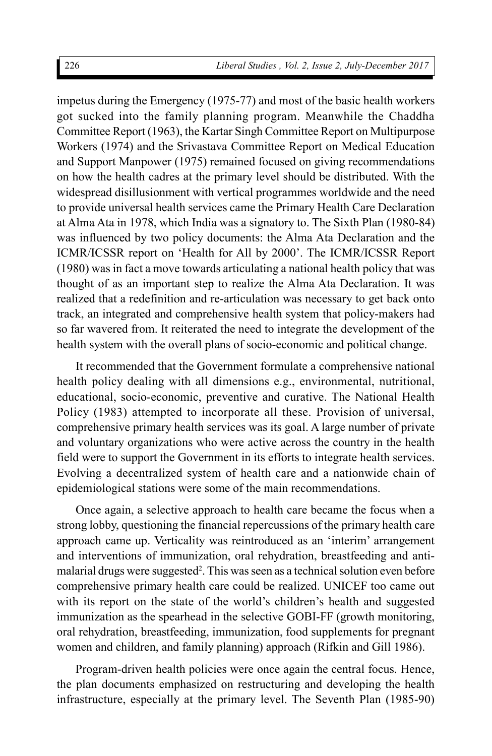impetus during the Emergency (1975-77) and most of the basic health workers got sucked into the family planning program. Meanwhile the Chaddha Committee Report (1963), the Kartar Singh Committee Report on Multipurpose Workers (1974) and the Srivastava Committee Report on Medical Education and Support Manpower (1975) remained focused on giving recommendations on how the health cadres at the primary level should be distributed. With the widespread disillusionment with vertical programmes worldwide and the need to provide universal health services came the Primary Health Care Declaration at Alma Ata in 1978, which India was a signatory to. The Sixth Plan (1980-84) was influenced by two policy documents: the Alma Ata Declaration and the ICMR/ICSSR report on 'Health for All by 2000'. The ICMR/ICSSR Report (1980) was in fact a move towards articulating a national health policy that was thought of as an important step to realize the Alma Ata Declaration. It was realized that a redefinition and re-articulation was necessary to get back onto track, an integrated and comprehensive health system that policy-makers had so far wavered from. It reiterated the need to integrate the development of the health system with the overall plans of socio-economic and political change.

It recommended that the Government formulate a comprehensive national health policy dealing with all dimensions e.g., environmental, nutritional, educational, socio-economic, preventive and curative. The National Health Policy (1983) attempted to incorporate all these. Provision of universal, comprehensive primary health services was its goal. A large number of private and voluntary organizations who were active across the country in the health field were to support the Government in its efforts to integrate health services. Evolving a decentralized system of health care and a nationwide chain of epidemiological stations were some of the main recommendations.

Once again, a selective approach to health care became the focus when a strong lobby, questioning the financial repercussions of the primary health care approach came up. Verticality was reintroduced as an 'interim' arrangement and interventions of immunization, oral rehydration, breastfeeding and antimalarial drugs were suggested<sup>2</sup>. This was seen as a technical solution even before comprehensive primary health care could be realized. UNICEF too came out with its report on the state of the world's children's health and suggested immunization as the spearhead in the selective GOBI-FF (growth monitoring, oral rehydration, breastfeeding, immunization, food supplements for pregnant women and children, and family planning) approach (Rifkin and Gill 1986).

Program-driven health policies were once again the central focus. Hence, the plan documents emphasized on restructuring and developing the health infrastructure, especially at the primary level. The Seventh Plan (1985-90)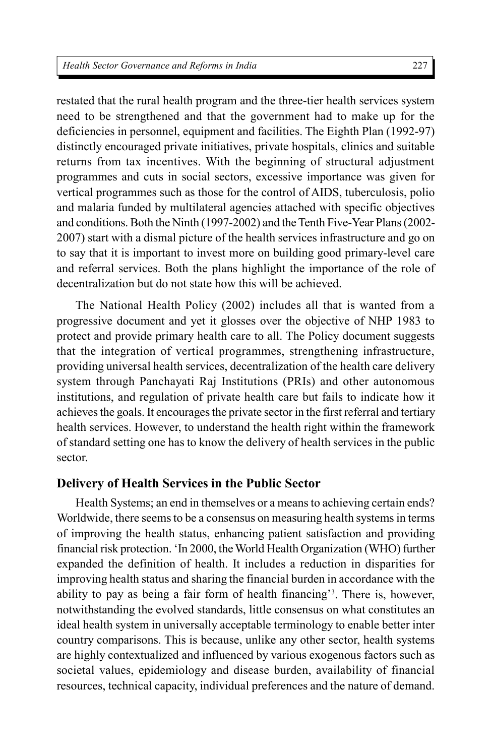restated that the rural health program and the three-tier health services system need to be strengthened and that the government had to make up for the deficiencies in personnel, equipment and facilities. The Eighth Plan (1992-97) distinctly encouraged private initiatives, private hospitals, clinics and suitable returns from tax incentives. With the beginning of structural adjustment programmes and cuts in social sectors, excessive importance was given for vertical programmes such as those for the control of AIDS, tuberculosis, polio and malaria funded by multilateral agencies attached with specific objectives and conditions. Both the Ninth (1997-2002) and the Tenth Five-Year Plans (2002- 2007) start with a dismal picture of the health services infrastructure and go on to say that it is important to invest more on building good primary-level care and referral services. Both the plans highlight the importance of the role of decentralization but do not state how this will be achieved.

The National Health Policy (2002) includes all that is wanted from a progressive document and yet it glosses over the objective of NHP 1983 to protect and provide primary health care to all. The Policy document suggests that the integration of vertical programmes, strengthening infrastructure, providing universal health services, decentralization of the health care delivery system through Panchayati Raj Institutions (PRIs) and other autonomous institutions, and regulation of private health care but fails to indicate how it achieves the goals. It encourages the private sector in the first referral and tertiary health services. However, to understand the health right within the framework of standard setting one has to know the delivery of health services in the public sector.

## **Delivery of Health Services in the Public Sector**

Health Systems; an end in themselves or a means to achieving certain ends? Worldwide, there seems to be a consensus on measuring health systems in terms of improving the health status, enhancing patient satisfaction and providing financial risk protection. 'In 2000, the World Health Organization (WHO) further expanded the definition of health. It includes a reduction in disparities for improving health status and sharing the financial burden in accordance with the ability to pay as being a fair form of health financing'<sup>3</sup> . There is, however, notwithstanding the evolved standards, little consensus on what constitutes an ideal health system in universally acceptable terminology to enable better inter country comparisons. This is because, unlike any other sector, health systems are highly contextualized and influenced by various exogenous factors such as societal values, epidemiology and disease burden, availability of financial resources, technical capacity, individual preferences and the nature of demand.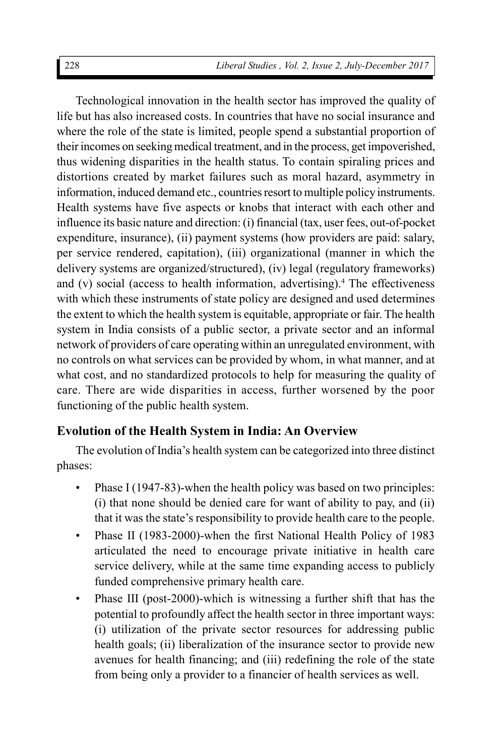Technological innovation in the health sector has improved the quality of life but has also increased costs. In countries that have no social insurance and where the role of the state is limited, people spend a substantial proportion of their incomes on seeking medical treatment, and in the process, get impoverished, thus widening disparities in the health status. To contain spiraling prices and distortions created by market failures such as moral hazard, asymmetry in information, induced demand etc., countries resort to multiple policy instruments. Health systems have five aspects or knobs that interact with each other and influence its basic nature and direction: (i) financial (tax, user fees, out-of-pocket expenditure, insurance), (ii) payment systems (how providers are paid: salary, per service rendered, capitation), (iii) organizational (manner in which the delivery systems are organized/structured), (iv) legal (regulatory frameworks) and (v) social (access to health information, advertising).<sup>4</sup> The effectiveness with which these instruments of state policy are designed and used determines the extent to which the health system is equitable, appropriate or fair. The health system in India consists of a public sector, a private sector and an informal network of providers of care operating within an unregulated environment, with no controls on what services can be provided by whom, in what manner, and at what cost, and no standardized protocols to help for measuring the quality of care. There are wide disparities in access, further worsened by the poor functioning of the public health system.

## **Evolution of the Health System in India: An Overview**

The evolution of India's health system can be categorized into three distinct phases:

- Phase I (1947-83)-when the health policy was based on two principles: (i) that none should be denied care for want of ability to pay, and (ii) that it was the state's responsibility to provide health care to the people.
- Phase II (1983-2000)-when the first National Health Policy of 1983 articulated the need to encourage private initiative in health care service delivery, while at the same time expanding access to publicly funded comprehensive primary health care.
- Phase III (post-2000)-which is witnessing a further shift that has the potential to profoundly affect the health sector in three important ways: (i) utilization of the private sector resources for addressing public health goals; (ii) liberalization of the insurance sector to provide new avenues for health financing; and (iii) redefining the role of the state from being only a provider to a financier of health services as well.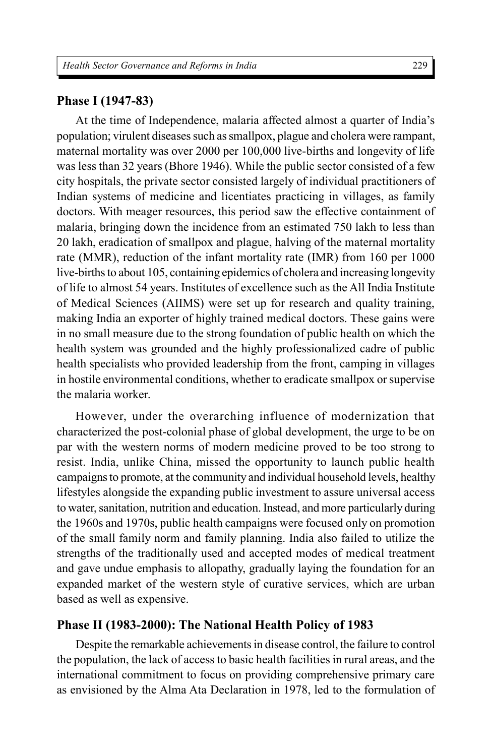#### **Phase I (1947-83)**

At the time of Independence, malaria affected almost a quarter of India's population; virulent diseases such as smallpox, plague and cholera were rampant, maternal mortality was over 2000 per 100,000 live-births and longevity of life was less than 32 years (Bhore 1946). While the public sector consisted of a few city hospitals, the private sector consisted largely of individual practitioners of Indian systems of medicine and licentiates practicing in villages, as family doctors. With meager resources, this period saw the effective containment of malaria, bringing down the incidence from an estimated 750 lakh to less than 20 lakh, eradication of smallpox and plague, halving of the maternal mortality rate (MMR), reduction of the infant mortality rate (IMR) from 160 per 1000 live-births to about 105, containing epidemics of cholera and increasing longevity of life to almost 54 years. Institutes of excellence such as the All India Institute of Medical Sciences (AIIMS) were set up for research and quality training, making India an exporter of highly trained medical doctors. These gains were in no small measure due to the strong foundation of public health on which the health system was grounded and the highly professionalized cadre of public health specialists who provided leadership from the front, camping in villages in hostile environmental conditions, whether to eradicate smallpox or supervise the malaria worker.

However, under the overarching influence of modernization that characterized the post-colonial phase of global development, the urge to be on par with the western norms of modern medicine proved to be too strong to resist. India, unlike China, missed the opportunity to launch public health campaigns to promote, at the community and individual household levels, healthy lifestyles alongside the expanding public investment to assure universal access to water, sanitation, nutrition and education. Instead, and more particularly during the 1960s and 1970s, public health campaigns were focused only on promotion of the small family norm and family planning. India also failed to utilize the strengths of the traditionally used and accepted modes of medical treatment and gave undue emphasis to allopathy, gradually laying the foundation for an expanded market of the western style of curative services, which are urban based as well as expensive.

### **Phase II (1983-2000): The National Health Policy of 1983**

Despite the remarkable achievements in disease control, the failure to control the population, the lack of access to basic health facilities in rural areas, and the international commitment to focus on providing comprehensive primary care as envisioned by the Alma Ata Declaration in 1978, led to the formulation of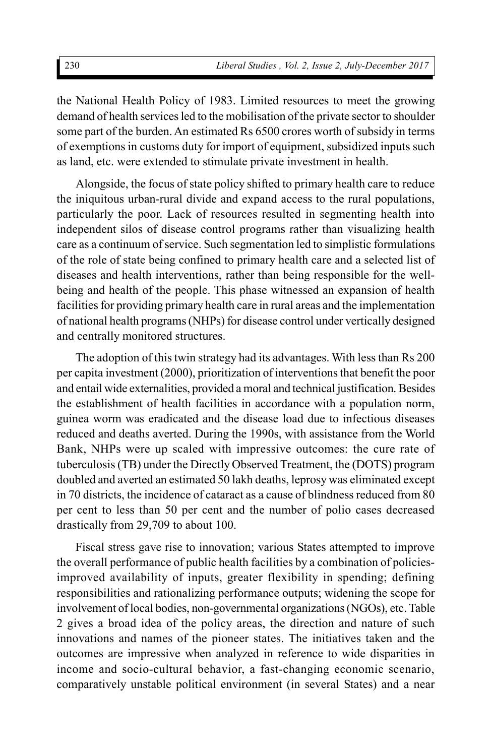the National Health Policy of 1983. Limited resources to meet the growing demand of health services led to the mobilisation of the private sector to shoulder some part of the burden. An estimated Rs 6500 crores worth of subsidy in terms of exemptions in customs duty for import of equipment, subsidized inputs such as land, etc. were extended to stimulate private investment in health.

Alongside, the focus of state policy shifted to primary health care to reduce the iniquitous urban-rural divide and expand access to the rural populations, particularly the poor. Lack of resources resulted in segmenting health into independent silos of disease control programs rather than visualizing health care as a continuum of service. Such segmentation led to simplistic formulations of the role of state being confined to primary health care and a selected list of diseases and health interventions, rather than being responsible for the wellbeing and health of the people. This phase witnessed an expansion of health facilities for providing primary health care in rural areas and the implementation of national health programs (NHPs) for disease control under vertically designed and centrally monitored structures.

The adoption of this twin strategy had its advantages. With less than Rs 200 per capita investment (2000), prioritization of interventions that benefit the poor and entail wide externalities, provided a moral and technical justification. Besides the establishment of health facilities in accordance with a population norm, guinea worm was eradicated and the disease load due to infectious diseases reduced and deaths averted. During the 1990s, with assistance from the World Bank, NHPs were up scaled with impressive outcomes: the cure rate of tuberculosis (TB) under the Directly Observed Treatment, the (DOTS) program doubled and averted an estimated 50 lakh deaths, leprosy was eliminated except in 70 districts, the incidence of cataract as a cause of blindness reduced from 80 per cent to less than 50 per cent and the number of polio cases decreased drastically from 29,709 to about 100.

Fiscal stress gave rise to innovation; various States attempted to improve the overall performance of public health facilities by a combination of policiesimproved availability of inputs, greater flexibility in spending; defining responsibilities and rationalizing performance outputs; widening the scope for involvement of local bodies, non-governmental organizations (NGOs), etc. Table 2 gives a broad idea of the policy areas, the direction and nature of such innovations and names of the pioneer states. The initiatives taken and the outcomes are impressive when analyzed in reference to wide disparities in income and socio-cultural behavior, a fast-changing economic scenario, comparatively unstable political environment (in several States) and a near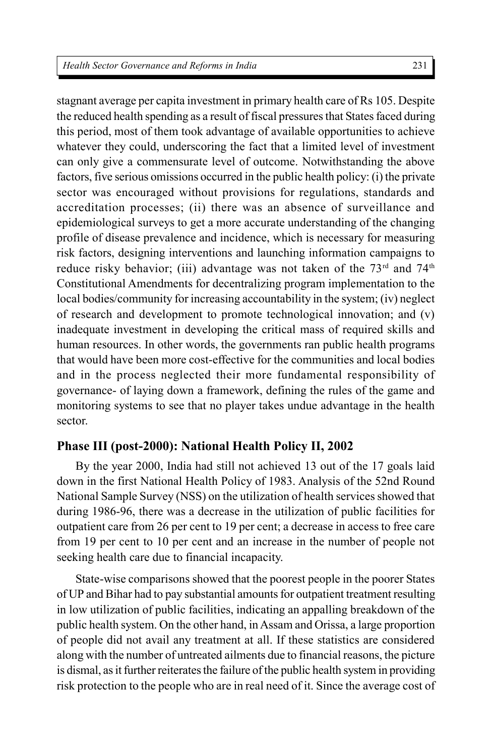231

stagnant average per capita investment in primary health care of Rs 105. Despite the reduced health spending as a result of fiscal pressures that States faced during this period, most of them took advantage of available opportunities to achieve whatever they could, underscoring the fact that a limited level of investment can only give a commensurate level of outcome. Notwithstanding the above factors, five serious omissions occurred in the public health policy: (i) the private sector was encouraged without provisions for regulations, standards and accreditation processes; (ii) there was an absence of surveillance and epidemiological surveys to get a more accurate understanding of the changing profile of disease prevalence and incidence, which is necessary for measuring risk factors, designing interventions and launching information campaigns to reduce risky behavior; (iii) advantage was not taken of the  $73<sup>rd</sup>$  and  $74<sup>th</sup>$ Constitutional Amendments for decentralizing program implementation to the local bodies/community for increasing accountability in the system; (iv) neglect of research and development to promote technological innovation; and (v) inadequate investment in developing the critical mass of required skills and human resources. In other words, the governments ran public health programs that would have been more cost-effective for the communities and local bodies and in the process neglected their more fundamental responsibility of governance- of laying down a framework, defining the rules of the game and monitoring systems to see that no player takes undue advantage in the health sector.

## **Phase III (post-2000): National Health Policy II, 2002**

By the year 2000, India had still not achieved 13 out of the 17 goals laid down in the first National Health Policy of 1983. Analysis of the 52nd Round National Sample Survey (NSS) on the utilization of health services showed that during 1986-96, there was a decrease in the utilization of public facilities for outpatient care from 26 per cent to 19 per cent; a decrease in access to free care from 19 per cent to 10 per cent and an increase in the number of people not seeking health care due to financial incapacity.

State-wise comparisons showed that the poorest people in the poorer States of UP and Bihar had to pay substantial amounts for outpatient treatment resulting in low utilization of public facilities, indicating an appalling breakdown of the public health system. On the other hand, in Assam and Orissa, a large proportion of people did not avail any treatment at all. If these statistics are considered along with the number of untreated ailments due to financial reasons, the picture is dismal, as it further reiterates the failure of the public health system in providing risk protection to the people who are in real need of it. Since the average cost of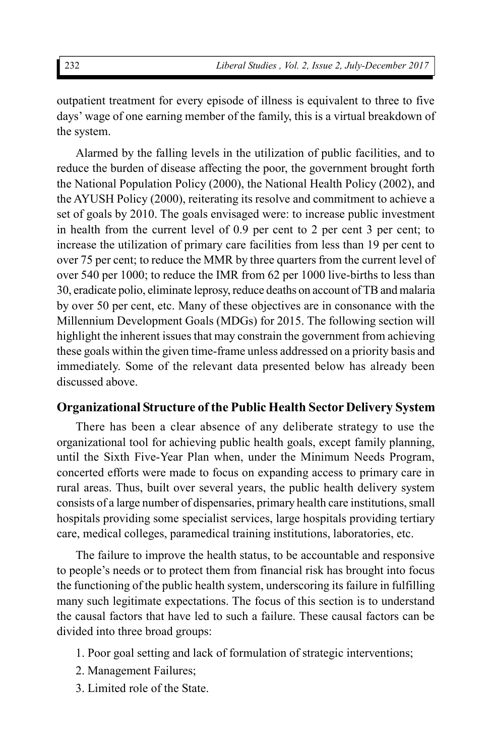outpatient treatment for every episode of illness is equivalent to three to five days' wage of one earning member of the family, this is a virtual breakdown of the system.

Alarmed by the falling levels in the utilization of public facilities, and to reduce the burden of disease affecting the poor, the government brought forth the National Population Policy (2000), the National Health Policy (2002), and the AYUSH Policy (2000), reiterating its resolve and commitment to achieve a set of goals by 2010. The goals envisaged were: to increase public investment in health from the current level of 0.9 per cent to 2 per cent 3 per cent; to increase the utilization of primary care facilities from less than 19 per cent to over 75 per cent; to reduce the MMR by three quarters from the current level of over 540 per 1000; to reduce the IMR from 62 per 1000 live-births to less than 30, eradicate polio, eliminate leprosy, reduce deaths on account of TB and malaria by over 50 per cent, etc. Many of these objectives are in consonance with the Millennium Development Goals (MDGs) for 2015. The following section will highlight the inherent issues that may constrain the government from achieving these goals within the given time-frame unless addressed on a priority basis and immediately. Some of the relevant data presented below has already been discussed above.

## **Organizational Structure of the Public Health Sector Delivery System**

There has been a clear absence of any deliberate strategy to use the organizational tool for achieving public health goals, except family planning, until the Sixth Five-Year Plan when, under the Minimum Needs Program, concerted efforts were made to focus on expanding access to primary care in rural areas. Thus, built over several years, the public health delivery system consists of a large number of dispensaries, primary health care institutions, small hospitals providing some specialist services, large hospitals providing tertiary care, medical colleges, paramedical training institutions, laboratories, etc.

The failure to improve the health status, to be accountable and responsive to people's needs or to protect them from financial risk has brought into focus the functioning of the public health system, underscoring its failure in fulfilling many such legitimate expectations. The focus of this section is to understand the causal factors that have led to such a failure. These causal factors can be divided into three broad groups:

- 1. Poor goal setting and lack of formulation of strategic interventions;
- 2. Management Failures;
- 3. Limited role of the State.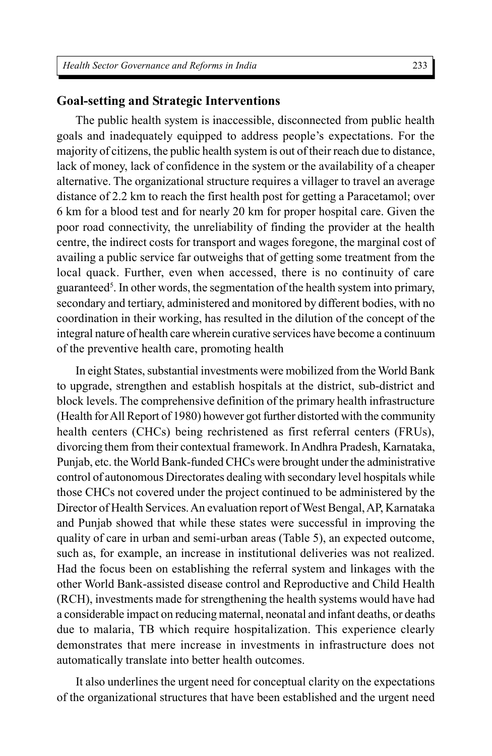#### **Goal-setting and Strategic Interventions**

The public health system is inaccessible, disconnected from public health goals and inadequately equipped to address people's expectations. For the majority of citizens, the public health system is out of their reach due to distance, lack of money, lack of confidence in the system or the availability of a cheaper alternative. The organizational structure requires a villager to travel an average distance of 2.2 km to reach the first health post for getting a Paracetamol; over 6 km for a blood test and for nearly 20 km for proper hospital care. Given the poor road connectivity, the unreliability of finding the provider at the health centre, the indirect costs for transport and wages foregone, the marginal cost of availing a public service far outweighs that of getting some treatment from the local quack. Further, even when accessed, there is no continuity of care guaranteed<sup>5</sup> . In other words, the segmentation of the health system into primary, secondary and tertiary, administered and monitored by different bodies, with no coordination in their working, has resulted in the dilution of the concept of the integral nature of health care wherein curative services have become a continuum of the preventive health care, promoting health

In eight States, substantial investments were mobilized from the World Bank to upgrade, strengthen and establish hospitals at the district, sub-district and block levels. The comprehensive definition of the primary health infrastructure (Health for All Report of 1980) however got further distorted with the community health centers (CHCs) being rechristened as first referral centers (FRUs), divorcing them from their contextual framework. In Andhra Pradesh, Karnataka, Punjab, etc. the World Bank-funded CHCs were brought under the administrative control of autonomous Directorates dealing with secondary level hospitals while those CHCs not covered under the project continued to be administered by the Director of Health Services. An evaluation report of West Bengal, AP, Karnataka and Punjab showed that while these states were successful in improving the quality of care in urban and semi-urban areas (Table 5), an expected outcome, such as, for example, an increase in institutional deliveries was not realized. Had the focus been on establishing the referral system and linkages with the other World Bank-assisted disease control and Reproductive and Child Health (RCH), investments made for strengthening the health systems would have had a considerable impact on reducing maternal, neonatal and infant deaths, or deaths due to malaria, TB which require hospitalization. This experience clearly demonstrates that mere increase in investments in infrastructure does not automatically translate into better health outcomes.

It also underlines the urgent need for conceptual clarity on the expectations of the organizational structures that have been established and the urgent need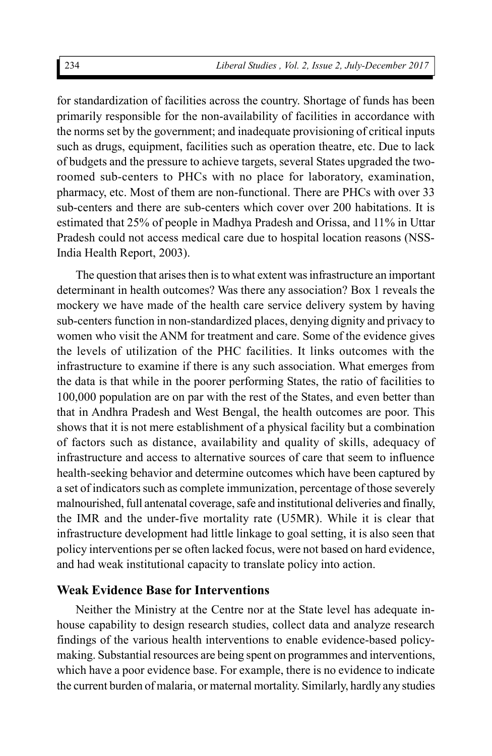for standardization of facilities across the country. Shortage of funds has been primarily responsible for the non-availability of facilities in accordance with the norms set by the government; and inadequate provisioning of critical inputs such as drugs, equipment, facilities such as operation theatre, etc. Due to lack of budgets and the pressure to achieve targets, several States upgraded the tworoomed sub-centers to PHCs with no place for laboratory, examination, pharmacy, etc. Most of them are non-functional. There are PHCs with over 33 sub-centers and there are sub-centers which cover over 200 habitations. It is estimated that 25% of people in Madhya Pradesh and Orissa, and 11% in Uttar Pradesh could not access medical care due to hospital location reasons (NSS-India Health Report, 2003).

The question that arises then is to what extent was infrastructure an important determinant in health outcomes? Was there any association? Box 1 reveals the mockery we have made of the health care service delivery system by having sub-centers function in non-standardized places, denying dignity and privacy to women who visit the ANM for treatment and care. Some of the evidence gives the levels of utilization of the PHC facilities. It links outcomes with the infrastructure to examine if there is any such association. What emerges from the data is that while in the poorer performing States, the ratio of facilities to 100,000 population are on par with the rest of the States, and even better than that in Andhra Pradesh and West Bengal, the health outcomes are poor. This shows that it is not mere establishment of a physical facility but a combination of factors such as distance, availability and quality of skills, adequacy of infrastructure and access to alternative sources of care that seem to influence health-seeking behavior and determine outcomes which have been captured by a set of indicators such as complete immunization, percentage of those severely malnourished, full antenatal coverage, safe and institutional deliveries and finally, the IMR and the under-five mortality rate (U5MR). While it is clear that infrastructure development had little linkage to goal setting, it is also seen that policy interventions per se often lacked focus, were not based on hard evidence, and had weak institutional capacity to translate policy into action.

### **Weak Evidence Base for Interventions**

Neither the Ministry at the Centre nor at the State level has adequate inhouse capability to design research studies, collect data and analyze research findings of the various health interventions to enable evidence-based policymaking. Substantial resources are being spent on programmes and interventions, which have a poor evidence base. For example, there is no evidence to indicate the current burden of malaria, or maternal mortality. Similarly, hardly any studies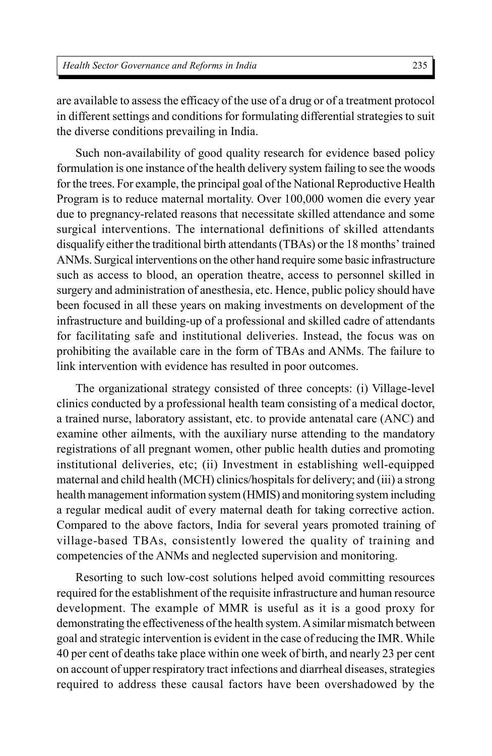are available to assess the efficacy of the use of a drug or of a treatment protocol in different settings and conditions for formulating differential strategies to suit the diverse conditions prevailing in India.

Such non-availability of good quality research for evidence based policy formulation is one instance of the health delivery system failing to see the woods for the trees. For example, the principal goal of the National Reproductive Health Program is to reduce maternal mortality. Over 100,000 women die every year due to pregnancy-related reasons that necessitate skilled attendance and some surgical interventions. The international definitions of skilled attendants disqualify either the traditional birth attendants (TBAs) or the 18 months' trained ANMs. Surgical interventions on the other hand require some basic infrastructure such as access to blood, an operation theatre, access to personnel skilled in surgery and administration of anesthesia, etc. Hence, public policy should have been focused in all these years on making investments on development of the infrastructure and building-up of a professional and skilled cadre of attendants for facilitating safe and institutional deliveries. Instead, the focus was on prohibiting the available care in the form of TBAs and ANMs. The failure to link intervention with evidence has resulted in poor outcomes.

The organizational strategy consisted of three concepts: (i) Village-level clinics conducted by a professional health team consisting of a medical doctor, a trained nurse, laboratory assistant, etc. to provide antenatal care (ANC) and examine other ailments, with the auxiliary nurse attending to the mandatory registrations of all pregnant women, other public health duties and promoting institutional deliveries, etc; (ii) Investment in establishing well-equipped maternal and child health (MCH) clinics/hospitals for delivery; and (iii) a strong health management information system (HMIS) and monitoring system including a regular medical audit of every maternal death for taking corrective action. Compared to the above factors, India for several years promoted training of village-based TBAs, consistently lowered the quality of training and competencies of the ANMs and neglected supervision and monitoring.

Resorting to such low-cost solutions helped avoid committing resources required for the establishment of the requisite infrastructure and human resource development. The example of MMR is useful as it is a good proxy for demonstrating the effectiveness of the health system. A similar mismatch between goal and strategic intervention is evident in the case of reducing the IMR. While 40 per cent of deaths take place within one week of birth, and nearly 23 per cent on account of upper respiratory tract infections and diarrheal diseases, strategies required to address these causal factors have been overshadowed by the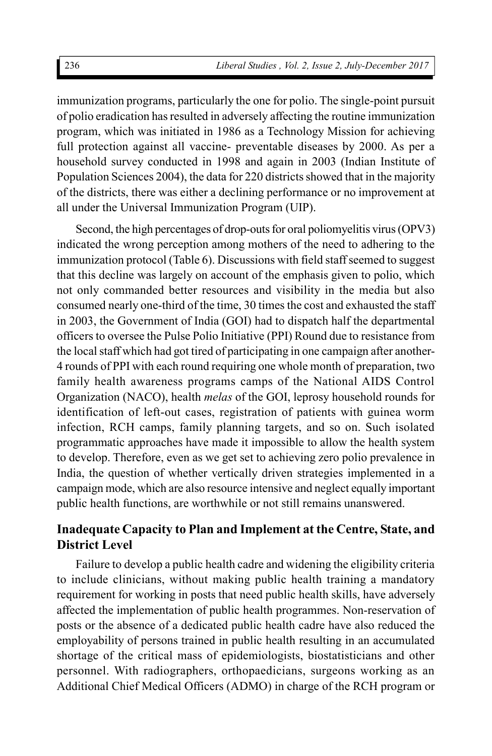immunization programs, particularly the one for polio. The single-point pursuit of polio eradication has resulted in adversely affecting the routine immunization program, which was initiated in 1986 as a Technology Mission for achieving full protection against all vaccine- preventable diseases by 2000. As per a household survey conducted in 1998 and again in 2003 (Indian Institute of Population Sciences 2004), the data for 220 districts showed that in the majority of the districts, there was either a declining performance or no improvement at all under the Universal Immunization Program (UIP).

Second, the high percentages of drop-outs for oral poliomyelitis virus (OPV3) indicated the wrong perception among mothers of the need to adhering to the immunization protocol (Table 6). Discussions with field staff seemed to suggest that this decline was largely on account of the emphasis given to polio, which not only commanded better resources and visibility in the media but also consumed nearly one-third of the time, 30 times the cost and exhausted the staff in 2003, the Government of India (GOI) had to dispatch half the departmental officers to oversee the Pulse Polio Initiative (PPI) Round due to resistance from the local staff which had got tired of participating in one campaign after another-4 rounds of PPI with each round requiring one whole month of preparation, two family health awareness programs camps of the National AIDS Control Organization (NACO), health *melas* of the GOI, leprosy household rounds for identification of left-out cases, registration of patients with guinea worm infection, RCH camps, family planning targets, and so on. Such isolated programmatic approaches have made it impossible to allow the health system to develop. Therefore, even as we get set to achieving zero polio prevalence in India, the question of whether vertically driven strategies implemented in a campaign mode, which are also resource intensive and neglect equally important public health functions, are worthwhile or not still remains unanswered.

## **Inadequate Capacity to Plan and Implement at the Centre, State, and District Level**

Failure to develop a public health cadre and widening the eligibility criteria to include clinicians, without making public health training a mandatory requirement for working in posts that need public health skills, have adversely affected the implementation of public health programmes. Non-reservation of posts or the absence of a dedicated public health cadre have also reduced the employability of persons trained in public health resulting in an accumulated shortage of the critical mass of epidemiologists, biostatisticians and other personnel. With radiographers, orthopaedicians, surgeons working as an Additional Chief Medical Officers (ADMO) in charge of the RCH program or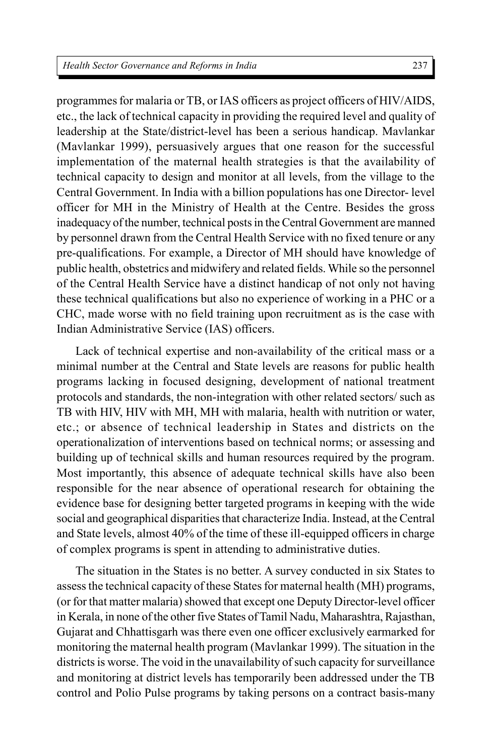programmes for malaria or TB, or IAS officers as project officers of HIV/AIDS, etc., the lack of technical capacity in providing the required level and quality of leadership at the State/district-level has been a serious handicap. Mavlankar (Mavlankar 1999), persuasively argues that one reason for the successful implementation of the maternal health strategies is that the availability of technical capacity to design and monitor at all levels, from the village to the Central Government. In India with a billion populations has one Director- level officer for MH in the Ministry of Health at the Centre. Besides the gross inadequacy of the number, technical posts in the Central Government are manned by personnel drawn from the Central Health Service with no fixed tenure or any pre-qualifications. For example, a Director of MH should have knowledge of public health, obstetrics and midwifery and related fields. While so the personnel of the Central Health Service have a distinct handicap of not only not having these technical qualifications but also no experience of working in a PHC or a CHC, made worse with no field training upon recruitment as is the case with Indian Administrative Service (IAS) officers.

Lack of technical expertise and non-availability of the critical mass or a minimal number at the Central and State levels are reasons for public health programs lacking in focused designing, development of national treatment protocols and standards, the non-integration with other related sectors/ such as TB with HIV, HIV with MH, MH with malaria, health with nutrition or water, etc.; or absence of technical leadership in States and districts on the operationalization of interventions based on technical norms; or assessing and building up of technical skills and human resources required by the program. Most importantly, this absence of adequate technical skills have also been responsible for the near absence of operational research for obtaining the evidence base for designing better targeted programs in keeping with the wide social and geographical disparities that characterize India. Instead, at the Central and State levels, almost 40% of the time of these ill-equipped officers in charge of complex programs is spent in attending to administrative duties.

The situation in the States is no better. A survey conducted in six States to assess the technical capacity of these States for maternal health (MH) programs, (or for that matter malaria) showed that except one Deputy Director-level officer in Kerala, in none of the other five States of Tamil Nadu, Maharashtra, Rajasthan, Gujarat and Chhattisgarh was there even one officer exclusively earmarked for monitoring the maternal health program (Mavlankar 1999). The situation in the districts is worse. The void in the unavailability of such capacity for surveillance and monitoring at district levels has temporarily been addressed under the TB control and Polio Pulse programs by taking persons on a contract basis-many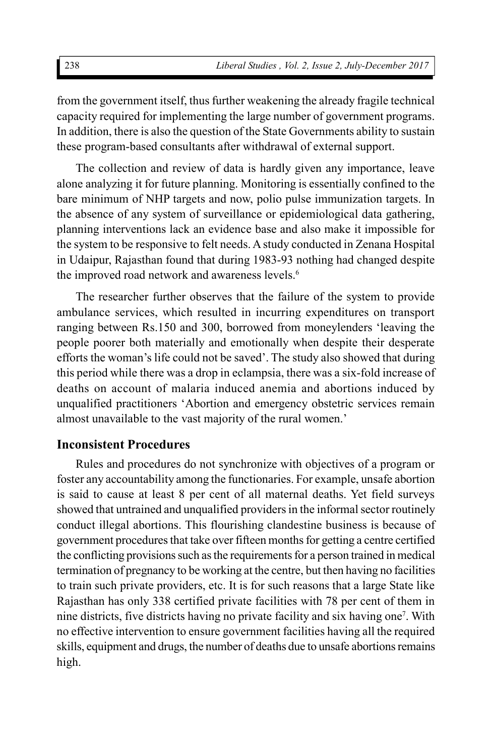from the government itself, thus further weakening the already fragile technical capacity required for implementing the large number of government programs. In addition, there is also the question of the State Governments ability to sustain these program-based consultants after withdrawal of external support.

The collection and review of data is hardly given any importance, leave alone analyzing it for future planning. Monitoring is essentially confined to the bare minimum of NHP targets and now, polio pulse immunization targets. In the absence of any system of surveillance or epidemiological data gathering, planning interventions lack an evidence base and also make it impossible for the system to be responsive to felt needs. A study conducted in Zenana Hospital in Udaipur, Rajasthan found that during 1983-93 nothing had changed despite the improved road network and awareness levels.<sup>6</sup>

The researcher further observes that the failure of the system to provide ambulance services, which resulted in incurring expenditures on transport ranging between Rs.150 and 300, borrowed from moneylenders 'leaving the people poorer both materially and emotionally when despite their desperate efforts the woman's life could not be saved'. The study also showed that during this period while there was a drop in eclampsia, there was a six-fold increase of deaths on account of malaria induced anemia and abortions induced by unqualified practitioners 'Abortion and emergency obstetric services remain almost unavailable to the vast majority of the rural women.'

## **Inconsistent Procedures**

Rules and procedures do not synchronize with objectives of a program or foster any accountability among the functionaries. For example, unsafe abortion is said to cause at least 8 per cent of all maternal deaths. Yet field surveys showed that untrained and unqualified providers in the informal sector routinely conduct illegal abortions. This flourishing clandestine business is because of government procedures that take over fifteen months for getting a centre certified the conflicting provisions such as the requirements for a person trained in medical termination of pregnancy to be working at the centre, but then having no facilities to train such private providers, etc. It is for such reasons that a large State like Rajasthan has only 338 certified private facilities with 78 per cent of them in nine districts, five districts having no private facility and six having one<sup>7</sup> . With no effective intervention to ensure government facilities having all the required skills, equipment and drugs, the number of deaths due to unsafe abortions remains high.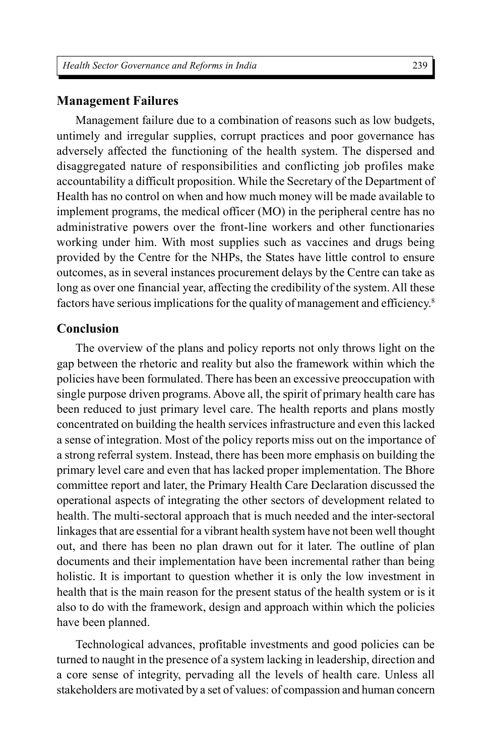#### **Management Failures**

Management failure due to a combination of reasons such as low budgets, untimely and irregular supplies, corrupt practices and poor governance has adversely affected the functioning of the health system. The dispersed and disaggregated nature of responsibilities and conflicting job profiles make accountability a difficult proposition. While the Secretary of the Department of Health has no control on when and how much money will be made available to implement programs, the medical officer (MO) in the peripheral centre has no administrative powers over the front-line workers and other functionaries working under him. With most supplies such as vaccines and drugs being provided by the Centre for the NHPs, the States have little control to ensure outcomes, as in several instances procurement delays by the Centre can take as long as over one financial year, affecting the credibility of the system. All these factors have serious implications for the quality of management and efficiency.<sup>8</sup>

### **Conclusion**

The overview of the plans and policy reports not only throws light on the gap between the rhetoric and reality but also the framework within which the policies have been formulated. There has been an excessive preoccupation with single purpose driven programs. Above all, the spirit of primary health care has been reduced to just primary level care. The health reports and plans mostly concentrated on building the health services infrastructure and even this lacked a sense of integration. Most of the policy reports miss out on the importance of a strong referral system. Instead, there has been more emphasis on building the primary level care and even that has lacked proper implementation. The Bhore committee report and later, the Primary Health Care Declaration discussed the operational aspects of integrating the other sectors of development related to health. The multi-sectoral approach that is much needed and the inter-sectoral linkages that are essential for a vibrant health system have not been well thought out, and there has been no plan drawn out for it later. The outline of plan documents and their implementation have been incremental rather than being holistic. It is important to question whether it is only the low investment in health that is the main reason for the present status of the health system or is it also to do with the framework, design and approach within which the policies have been planned.

Technological advances, profitable investments and good policies can be turned to naught in the presence of a system lacking in leadership, direction and a core sense of integrity, pervading all the levels of health care. Unless all stakeholders are motivated by a set of values: of compassion and human concern